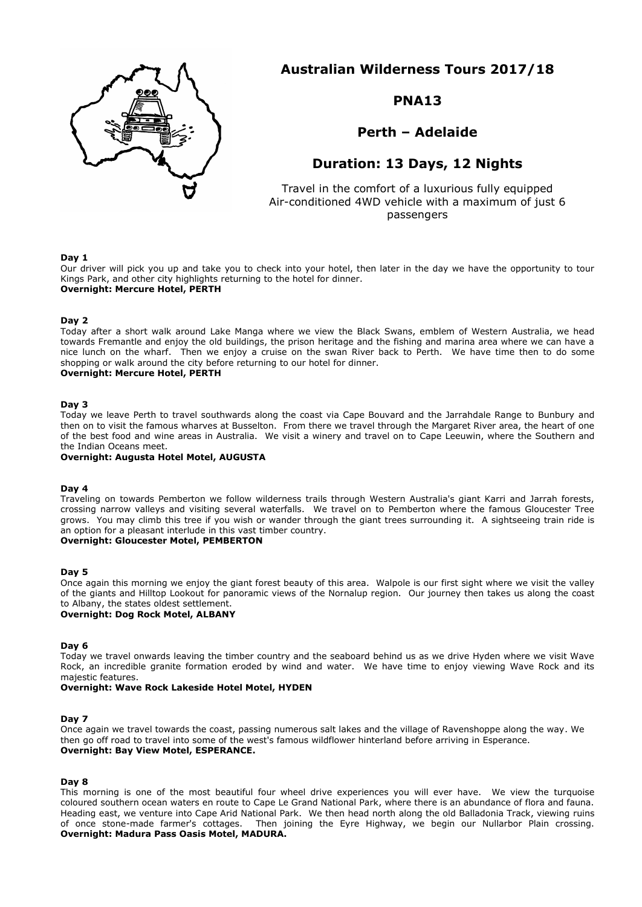

**Australian Wilderness Tours 2017/18**

# **PNA13**

**Perth – Adelaide**

# **Duration: 13 Days, 12 Nights**

Travel in the comfort of a luxurious fully equipped Air-conditioned 4WD vehicle with a maximum of just 6 passengers

## **Day 1**

Our driver will pick you up and take you to check into your hotel, then later in the day we have the opportunity to tour Kings Park, and other city highlights returning to the hotel for dinner. **Overnight: Mercure Hotel, PERTH**

### **Day 2**

Today after a short walk around Lake Manga where we view the Black Swans, emblem of Western Australia, we head towards Fremantle and enjoy the old buildings, the prison heritage and the fishing and marina area where we can have a nice lunch on the wharf. Then we enjoy a cruise on the swan River back to Perth. We have time then to do some shopping or walk around the city before returning to our hotel for dinner. **Overnight: Mercure Hotel, PERTH**

#### **Day 3**

Today we leave Perth to travel southwards along the coast via Cape Bouvard and the Jarrahdale Range to Bunbury and then on to visit the famous wharves at Busselton. From there we travel through the Margaret River area, the heart of one of the best food and wine areas in Australia. We visit a winery and travel on to Cape Leeuwin, where the Southern and the Indian Oceans meet.

#### **Overnight: Augusta Hotel Motel, AUGUSTA**

#### **Day 4**

Traveling on towards Pemberton we follow wilderness trails through Western Australia's giant Karri and Jarrah forests, crossing narrow valleys and visiting several waterfalls. We travel on to Pemberton where the famous Gloucester Tree grows. You may climb this tree if you wish or wander through the giant trees surrounding it. A sightseeing train ride is an option for a pleasant interlude in this vast timber country.

# **Overnight: Gloucester Motel, PEMBERTON**

#### **Day 5**

Once again this morning we enjoy the giant forest beauty of this area. Walpole is our first sight where we visit the valley of the giants and Hilltop Lookout for panoramic views of the Nornalup region. Our journey then takes us along the coast to Albany, the states oldest settlement.

# **Overnight: Dog Rock Motel, ALBANY**

#### **Day 6**

Today we travel onwards leaving the timber country and the seaboard behind us as we drive Hyden where we visit Wave Rock, an incredible granite formation eroded by wind and water. We have time to enjoy viewing Wave Rock and its majestic features.

## **Overnight: Wave Rock Lakeside Hotel Motel, HYDEN**

### **Day 7**

Once again we travel towards the coast, passing numerous salt lakes and the village of Ravenshoppe along the way. We then go off road to travel into some of the west's famous wildflower hinterland before arriving in Esperance. **Overnight: Bay View Motel, ESPERANCE.**

#### **Day 8**

This morning is one of the most beautiful four wheel drive experiences you will ever have. We view the turquoise coloured southern ocean waters en route to Cape Le Grand National Park, where there is an abundance of flora and fauna. Heading east, we venture into Cape Arid National Park. We then head north along the old Balladonia Track, viewing ruins of once stone-made farmer's cottages. Then joining the Eyre Highway, we begin our Nullarbor Plain crossing. **Overnight: Madura Pass Oasis Motel, MADURA.**